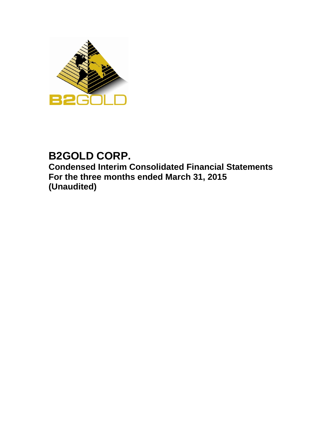

# **B2GOLD CORP. Condensed Interim Consolidated Financial Statements For the three months ended March 31, 2015 (Unaudited)**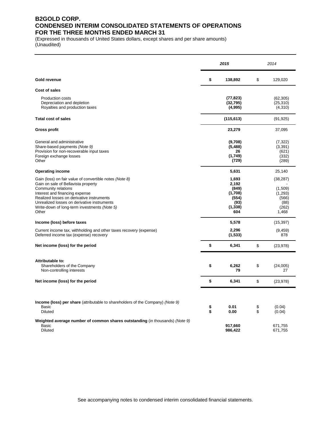### **B2GOLD CORP. CONDENSED INTERIM CONSOLIDATED STATEMENTS OF OPERATIONS FOR THE THREE MONTHS ENDED MARCH 31**

(Expressed in thousands of United States dollars, except shares and per share amounts) (Unaudited)

|                                                                                                                                                                                                                                                                                                              |          | 2015                                                                   | 2014     |                                                                    |  |  |
|--------------------------------------------------------------------------------------------------------------------------------------------------------------------------------------------------------------------------------------------------------------------------------------------------------------|----------|------------------------------------------------------------------------|----------|--------------------------------------------------------------------|--|--|
| Gold revenue                                                                                                                                                                                                                                                                                                 | \$       | 138,892                                                                | \$       | 129,020                                                            |  |  |
| <b>Cost of sales</b>                                                                                                                                                                                                                                                                                         |          |                                                                        |          |                                                                    |  |  |
| <b>Production costs</b><br>Depreciation and depletion<br>Royalties and production taxes                                                                                                                                                                                                                      |          | (77, 823)<br>(32, 795)<br>(4,995)                                      |          | (62, 305)<br>(25, 310)<br>(4,310)                                  |  |  |
| <b>Total cost of sales</b>                                                                                                                                                                                                                                                                                   |          | (115, 613)                                                             |          | (91, 925)                                                          |  |  |
| <b>Gross profit</b>                                                                                                                                                                                                                                                                                          |          | 23,279                                                                 |          | 37,095                                                             |  |  |
| General and administrative<br>Share-based payments (Note 9)<br>Provision for non-recoverable input taxes<br>Foreign exchange losses<br>Other                                                                                                                                                                 |          | (9,708)<br>(5, 488)<br>26<br>(1,749)<br>(729)                          |          | (7,322)<br>(3, 391)<br>(621)<br>(332)<br>(289)                     |  |  |
| <b>Operating income</b>                                                                                                                                                                                                                                                                                      |          | 5,631                                                                  |          | 25,140                                                             |  |  |
| Gain (loss) on fair value of convertible notes (Note 8)<br>Gain on sale of Bellavista property<br>Community relations<br>Interest and financing expense<br>Realized losses on derivative instruments<br>Unrealized losses on derivative instruments<br>Write-down of long-term investments (Note 5)<br>Other |          | 1,693<br>2.192<br>(849)<br>(1,708)<br>(554)<br>(93)<br>(1, 338)<br>604 |          | (38, 287)<br>(1,509)<br>(1,293)<br>(566)<br>(88)<br>(262)<br>1,468 |  |  |
| Income (loss) before taxes                                                                                                                                                                                                                                                                                   |          | 5,578                                                                  |          | (15, 397)                                                          |  |  |
| Current income tax, withholding and other taxes recovery (expense)<br>Deferred income tax (expense) recovery                                                                                                                                                                                                 |          | 2,296<br>(1,533)                                                       |          | (9, 459)<br>878                                                    |  |  |
| Net income (loss) for the period                                                                                                                                                                                                                                                                             | \$       | 6,341                                                                  | \$       | (23, 978)                                                          |  |  |
| Attributable to:<br>Shareholders of the Company<br>Non-controlling interests                                                                                                                                                                                                                                 | \$       | 6,262<br>79                                                            | \$       | (24,005)<br>27                                                     |  |  |
| Net income (loss) for the period                                                                                                                                                                                                                                                                             | \$       | 6,341                                                                  | \$       | (23, 978)                                                          |  |  |
| <b>Income (loss) per share</b> (attributable to shareholders of the Company) (Note 9)<br>Basic<br><b>Diluted</b>                                                                                                                                                                                             | \$<br>\$ | 0.01<br>0.00                                                           | \$<br>\$ | (0.04)<br>(0.04)                                                   |  |  |
| Weighted average number of common shares outstanding (in thousands) (Note 9)<br><b>Basic</b><br>Diluted                                                                                                                                                                                                      |          | 917,660<br>986,422                                                     |          | 671,755<br>671,755                                                 |  |  |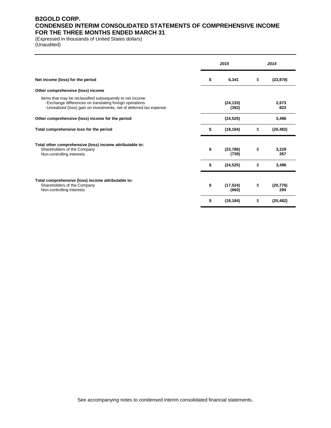### **B2GOLD CORP. CONDENSED INTERIM CONSOLIDATED STATEMENTS OF COMPREHENSIVE INCOME FOR THE THREE MONTHS ENDED MARCH 31**

(Expressed in thousands of United States dollars) (Unaudited)

|                                                                                                                                                                                                | 2015 |                    |    | 2014             |
|------------------------------------------------------------------------------------------------------------------------------------------------------------------------------------------------|------|--------------------|----|------------------|
| Net income (loss) for the period                                                                                                                                                               | \$   | 6,341              | \$ | (23, 978)        |
| Other comprehensive (loss) income                                                                                                                                                              |      |                    |    |                  |
| Items that may be reclassified subsequently to net income:<br>- Exchange differences on translating foreign operations<br>- Unrealized (loss) gain on investments, net of deferred tax expense |      | (24, 133)<br>(392) |    | 2,673<br>823     |
| Other comprehensive (loss) income for the period                                                                                                                                               |      | (24, 525)          |    | 3,496            |
| Total comprehensive loss for the period                                                                                                                                                        | \$   | (18, 184)          | \$ | (20, 482)        |
| Total other comprehensive (loss) income attributable to:<br>Shareholders of the Company<br>Non-controlling interests                                                                           | \$   | (23, 786)<br>(739) | \$ | 3.229<br>267     |
|                                                                                                                                                                                                | \$   | (24, 525)          | \$ | 3,496            |
| Total comprehensive (loss) income attributable to:<br>Shareholders of the Company<br>Non-controlling interests                                                                                 | \$   | (17, 524)<br>(660) | \$ | (20, 776)<br>294 |
|                                                                                                                                                                                                | \$   | (18, 184)          | \$ | (20, 482)        |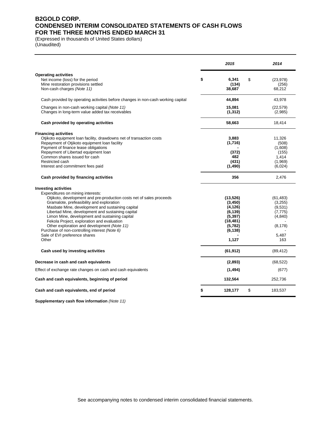### **B2GOLD CORP. CONDENSED INTERIM CONSOLIDATED STATEMENTS OF CASH FLOWS FOR THE THREE MONTHS ENDED MARCH 31**

(Expressed in thousands of United States dollars) (Unaudited)

| <b>Operating activities</b><br>Net income (loss) for the period<br>\$<br>6,341<br>\$<br>(23, 978)<br>Mine restoration provisions settled<br>(134)<br>(256)<br>Non-cash charges (Note 11)<br>38,687<br>68,212<br>44,894<br>43,978<br>Cash provided by operating activities before changes in non-cash working capital<br>Changes in non-cash working capital (Note 11)<br>15,081<br>(22, 579)<br>Changes in long-term value added tax receivables<br>(1, 312)<br>(2,985)<br>Cash provided by operating activities<br>58,663<br>18,414<br><b>Financing activities</b><br>Otjikoto equipment loan facility, drawdowns net of transaction costs<br>3,883<br>11.326<br>Repayment of Otjikoto equipment loan facility<br>(1,716)<br>(508)<br>Payment of finance lease obligations<br>(1,608)<br>Repayment of Libertad equipment loan<br>(372)<br>(155)<br>Common shares issued for cash<br>482<br>1,414<br>Restricted cash<br>(431)<br>(1,969)<br>(1,490)<br>Interest and commitment fees paid<br>(6,024)<br>Cash provided by financing activities<br>356<br>2,476<br><b>Investing activities</b><br>Expenditures on mining interests:<br>Otjikoto, development and pre-production costs net of sales proceeds<br>(13,526)<br>(61, 483)<br>Gramalote, prefeasibility and exploration<br>(3, 450)<br>(3,255)<br>Masbate Mine, development and sustaining capital<br>(4, 126)<br>(9,531)<br>Libertad Mine, development and sustaining capital<br>(6, 139)<br>(7, 775)<br>Limon Mine, development and sustaining capital<br>(5, 397)<br>(4, 840)<br>Fekola Project, exploration and evaluation<br>(18, 481)<br>Other exploration and development (Note 11)<br>(5,782)<br>(8, 178)<br>Purchase of non-controlling interest (Note 6)<br>(6, 138)<br>Sale of EVI preference shares<br>5,487<br>Other<br>1,127<br>163<br>(61, 912)<br>Cash used by investing activities<br>(89, 412)<br>Decrease in cash and cash equivalents<br>(2,893)<br>(68, 522)<br>(1, 494)<br>Effect of exchange rate changes on cash and cash equivalents<br>(677)<br>Cash and cash equivalents, beginning of period<br>132,564<br>252,736<br>\$<br>128,177<br>\$<br>Cash and cash equivalents, end of period<br>183,537 |  | 2015 | 2014 |
|-------------------------------------------------------------------------------------------------------------------------------------------------------------------------------------------------------------------------------------------------------------------------------------------------------------------------------------------------------------------------------------------------------------------------------------------------------------------------------------------------------------------------------------------------------------------------------------------------------------------------------------------------------------------------------------------------------------------------------------------------------------------------------------------------------------------------------------------------------------------------------------------------------------------------------------------------------------------------------------------------------------------------------------------------------------------------------------------------------------------------------------------------------------------------------------------------------------------------------------------------------------------------------------------------------------------------------------------------------------------------------------------------------------------------------------------------------------------------------------------------------------------------------------------------------------------------------------------------------------------------------------------------------------------------------------------------------------------------------------------------------------------------------------------------------------------------------------------------------------------------------------------------------------------------------------------------------------------------------------------------------------------------------------------------------------------------------------------------------------------------------------------------------------------------------------|--|------|------|
|                                                                                                                                                                                                                                                                                                                                                                                                                                                                                                                                                                                                                                                                                                                                                                                                                                                                                                                                                                                                                                                                                                                                                                                                                                                                                                                                                                                                                                                                                                                                                                                                                                                                                                                                                                                                                                                                                                                                                                                                                                                                                                                                                                                     |  |      |      |
|                                                                                                                                                                                                                                                                                                                                                                                                                                                                                                                                                                                                                                                                                                                                                                                                                                                                                                                                                                                                                                                                                                                                                                                                                                                                                                                                                                                                                                                                                                                                                                                                                                                                                                                                                                                                                                                                                                                                                                                                                                                                                                                                                                                     |  |      |      |
|                                                                                                                                                                                                                                                                                                                                                                                                                                                                                                                                                                                                                                                                                                                                                                                                                                                                                                                                                                                                                                                                                                                                                                                                                                                                                                                                                                                                                                                                                                                                                                                                                                                                                                                                                                                                                                                                                                                                                                                                                                                                                                                                                                                     |  |      |      |
|                                                                                                                                                                                                                                                                                                                                                                                                                                                                                                                                                                                                                                                                                                                                                                                                                                                                                                                                                                                                                                                                                                                                                                                                                                                                                                                                                                                                                                                                                                                                                                                                                                                                                                                                                                                                                                                                                                                                                                                                                                                                                                                                                                                     |  |      |      |
|                                                                                                                                                                                                                                                                                                                                                                                                                                                                                                                                                                                                                                                                                                                                                                                                                                                                                                                                                                                                                                                                                                                                                                                                                                                                                                                                                                                                                                                                                                                                                                                                                                                                                                                                                                                                                                                                                                                                                                                                                                                                                                                                                                                     |  |      |      |
|                                                                                                                                                                                                                                                                                                                                                                                                                                                                                                                                                                                                                                                                                                                                                                                                                                                                                                                                                                                                                                                                                                                                                                                                                                                                                                                                                                                                                                                                                                                                                                                                                                                                                                                                                                                                                                                                                                                                                                                                                                                                                                                                                                                     |  |      |      |
|                                                                                                                                                                                                                                                                                                                                                                                                                                                                                                                                                                                                                                                                                                                                                                                                                                                                                                                                                                                                                                                                                                                                                                                                                                                                                                                                                                                                                                                                                                                                                                                                                                                                                                                                                                                                                                                                                                                                                                                                                                                                                                                                                                                     |  |      |      |
|                                                                                                                                                                                                                                                                                                                                                                                                                                                                                                                                                                                                                                                                                                                                                                                                                                                                                                                                                                                                                                                                                                                                                                                                                                                                                                                                                                                                                                                                                                                                                                                                                                                                                                                                                                                                                                                                                                                                                                                                                                                                                                                                                                                     |  |      |      |
|                                                                                                                                                                                                                                                                                                                                                                                                                                                                                                                                                                                                                                                                                                                                                                                                                                                                                                                                                                                                                                                                                                                                                                                                                                                                                                                                                                                                                                                                                                                                                                                                                                                                                                                                                                                                                                                                                                                                                                                                                                                                                                                                                                                     |  |      |      |
|                                                                                                                                                                                                                                                                                                                                                                                                                                                                                                                                                                                                                                                                                                                                                                                                                                                                                                                                                                                                                                                                                                                                                                                                                                                                                                                                                                                                                                                                                                                                                                                                                                                                                                                                                                                                                                                                                                                                                                                                                                                                                                                                                                                     |  |      |      |
|                                                                                                                                                                                                                                                                                                                                                                                                                                                                                                                                                                                                                                                                                                                                                                                                                                                                                                                                                                                                                                                                                                                                                                                                                                                                                                                                                                                                                                                                                                                                                                                                                                                                                                                                                                                                                                                                                                                                                                                                                                                                                                                                                                                     |  |      |      |
|                                                                                                                                                                                                                                                                                                                                                                                                                                                                                                                                                                                                                                                                                                                                                                                                                                                                                                                                                                                                                                                                                                                                                                                                                                                                                                                                                                                                                                                                                                                                                                                                                                                                                                                                                                                                                                                                                                                                                                                                                                                                                                                                                                                     |  |      |      |
|                                                                                                                                                                                                                                                                                                                                                                                                                                                                                                                                                                                                                                                                                                                                                                                                                                                                                                                                                                                                                                                                                                                                                                                                                                                                                                                                                                                                                                                                                                                                                                                                                                                                                                                                                                                                                                                                                                                                                                                                                                                                                                                                                                                     |  |      |      |
|                                                                                                                                                                                                                                                                                                                                                                                                                                                                                                                                                                                                                                                                                                                                                                                                                                                                                                                                                                                                                                                                                                                                                                                                                                                                                                                                                                                                                                                                                                                                                                                                                                                                                                                                                                                                                                                                                                                                                                                                                                                                                                                                                                                     |  |      |      |
|                                                                                                                                                                                                                                                                                                                                                                                                                                                                                                                                                                                                                                                                                                                                                                                                                                                                                                                                                                                                                                                                                                                                                                                                                                                                                                                                                                                                                                                                                                                                                                                                                                                                                                                                                                                                                                                                                                                                                                                                                                                                                                                                                                                     |  |      |      |
|                                                                                                                                                                                                                                                                                                                                                                                                                                                                                                                                                                                                                                                                                                                                                                                                                                                                                                                                                                                                                                                                                                                                                                                                                                                                                                                                                                                                                                                                                                                                                                                                                                                                                                                                                                                                                                                                                                                                                                                                                                                                                                                                                                                     |  |      |      |
|                                                                                                                                                                                                                                                                                                                                                                                                                                                                                                                                                                                                                                                                                                                                                                                                                                                                                                                                                                                                                                                                                                                                                                                                                                                                                                                                                                                                                                                                                                                                                                                                                                                                                                                                                                                                                                                                                                                                                                                                                                                                                                                                                                                     |  |      |      |
|                                                                                                                                                                                                                                                                                                                                                                                                                                                                                                                                                                                                                                                                                                                                                                                                                                                                                                                                                                                                                                                                                                                                                                                                                                                                                                                                                                                                                                                                                                                                                                                                                                                                                                                                                                                                                                                                                                                                                                                                                                                                                                                                                                                     |  |      |      |
|                                                                                                                                                                                                                                                                                                                                                                                                                                                                                                                                                                                                                                                                                                                                                                                                                                                                                                                                                                                                                                                                                                                                                                                                                                                                                                                                                                                                                                                                                                                                                                                                                                                                                                                                                                                                                                                                                                                                                                                                                                                                                                                                                                                     |  |      |      |
|                                                                                                                                                                                                                                                                                                                                                                                                                                                                                                                                                                                                                                                                                                                                                                                                                                                                                                                                                                                                                                                                                                                                                                                                                                                                                                                                                                                                                                                                                                                                                                                                                                                                                                                                                                                                                                                                                                                                                                                                                                                                                                                                                                                     |  |      |      |
|                                                                                                                                                                                                                                                                                                                                                                                                                                                                                                                                                                                                                                                                                                                                                                                                                                                                                                                                                                                                                                                                                                                                                                                                                                                                                                                                                                                                                                                                                                                                                                                                                                                                                                                                                                                                                                                                                                                                                                                                                                                                                                                                                                                     |  |      |      |
|                                                                                                                                                                                                                                                                                                                                                                                                                                                                                                                                                                                                                                                                                                                                                                                                                                                                                                                                                                                                                                                                                                                                                                                                                                                                                                                                                                                                                                                                                                                                                                                                                                                                                                                                                                                                                                                                                                                                                                                                                                                                                                                                                                                     |  |      |      |
|                                                                                                                                                                                                                                                                                                                                                                                                                                                                                                                                                                                                                                                                                                                                                                                                                                                                                                                                                                                                                                                                                                                                                                                                                                                                                                                                                                                                                                                                                                                                                                                                                                                                                                                                                                                                                                                                                                                                                                                                                                                                                                                                                                                     |  |      |      |
|                                                                                                                                                                                                                                                                                                                                                                                                                                                                                                                                                                                                                                                                                                                                                                                                                                                                                                                                                                                                                                                                                                                                                                                                                                                                                                                                                                                                                                                                                                                                                                                                                                                                                                                                                                                                                                                                                                                                                                                                                                                                                                                                                                                     |  |      |      |
|                                                                                                                                                                                                                                                                                                                                                                                                                                                                                                                                                                                                                                                                                                                                                                                                                                                                                                                                                                                                                                                                                                                                                                                                                                                                                                                                                                                                                                                                                                                                                                                                                                                                                                                                                                                                                                                                                                                                                                                                                                                                                                                                                                                     |  |      |      |
|                                                                                                                                                                                                                                                                                                                                                                                                                                                                                                                                                                                                                                                                                                                                                                                                                                                                                                                                                                                                                                                                                                                                                                                                                                                                                                                                                                                                                                                                                                                                                                                                                                                                                                                                                                                                                                                                                                                                                                                                                                                                                                                                                                                     |  |      |      |
|                                                                                                                                                                                                                                                                                                                                                                                                                                                                                                                                                                                                                                                                                                                                                                                                                                                                                                                                                                                                                                                                                                                                                                                                                                                                                                                                                                                                                                                                                                                                                                                                                                                                                                                                                                                                                                                                                                                                                                                                                                                                                                                                                                                     |  |      |      |
|                                                                                                                                                                                                                                                                                                                                                                                                                                                                                                                                                                                                                                                                                                                                                                                                                                                                                                                                                                                                                                                                                                                                                                                                                                                                                                                                                                                                                                                                                                                                                                                                                                                                                                                                                                                                                                                                                                                                                                                                                                                                                                                                                                                     |  |      |      |
|                                                                                                                                                                                                                                                                                                                                                                                                                                                                                                                                                                                                                                                                                                                                                                                                                                                                                                                                                                                                                                                                                                                                                                                                                                                                                                                                                                                                                                                                                                                                                                                                                                                                                                                                                                                                                                                                                                                                                                                                                                                                                                                                                                                     |  |      |      |
|                                                                                                                                                                                                                                                                                                                                                                                                                                                                                                                                                                                                                                                                                                                                                                                                                                                                                                                                                                                                                                                                                                                                                                                                                                                                                                                                                                                                                                                                                                                                                                                                                                                                                                                                                                                                                                                                                                                                                                                                                                                                                                                                                                                     |  |      |      |

**Supplementary cash flow information** *(Note 11)*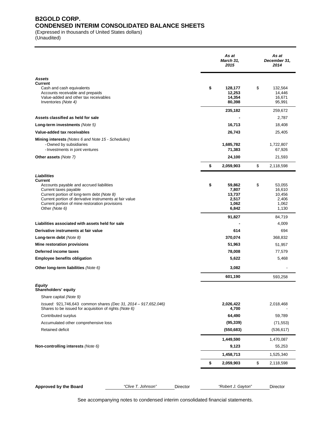### **B2GOLD CORP. CONDENSED INTERIM CONSOLIDATED BALANCE SHEETS**

(Expressed in thousands of United States dollars)

(Unaudited)

|                                                                                                                                                                                                                                                                                 |                    |          | As at<br>March 31,<br>2015                                 | As at<br>December 31,<br>2014                               |
|---------------------------------------------------------------------------------------------------------------------------------------------------------------------------------------------------------------------------------------------------------------------------------|--------------------|----------|------------------------------------------------------------|-------------------------------------------------------------|
| Assets<br><b>Current</b>                                                                                                                                                                                                                                                        |                    |          |                                                            |                                                             |
| Cash and cash equivalents<br>Accounts receivable and prepaids<br>Value-added and other tax receivables<br>Inventories (Note 4)                                                                                                                                                  |                    |          | \$<br>128,177<br>12,253<br>14,354<br>80,398                | \$<br>132,564<br>14,446<br>16,671<br>95,991                 |
|                                                                                                                                                                                                                                                                                 |                    |          | 235,182                                                    | 259,672                                                     |
| Assets classified as held for sale                                                                                                                                                                                                                                              |                    |          |                                                            | 2,787                                                       |
| Long-term investments (Note 5)                                                                                                                                                                                                                                                  |                    |          | 16,713                                                     | 18,408                                                      |
| Value-added tax receivables                                                                                                                                                                                                                                                     |                    |          | 26,743                                                     | 25,405                                                      |
| <b>Mining interests</b> (Notes 6 and Note 15 - Schedules)<br>- Owned by subsidiaries<br>- Investments in joint ventures                                                                                                                                                         |                    |          | 1,685,782<br>71,383                                        | 1,722,807<br>67,926                                         |
| Other assets (Note 7)                                                                                                                                                                                                                                                           |                    |          | 24,100                                                     | 21,593                                                      |
|                                                                                                                                                                                                                                                                                 |                    |          | \$<br>2,059,903                                            | \$<br>2,118,598                                             |
|                                                                                                                                                                                                                                                                                 |                    |          |                                                            |                                                             |
| Liabilities<br><b>Current</b><br>Accounts payable and accrued liabilities<br>Current taxes payable<br>Current portion of long-term debt (Note 8)<br>Current portion of derivative instruments at fair value<br>Current portion of mine restoration provisions<br>Other (Note 6) |                    |          | \$<br>59.862<br>7,807<br>13,737<br>2,517<br>1,062<br>6,842 | \$<br>53,055<br>16,610<br>10,456<br>2,406<br>1,062<br>1,130 |
|                                                                                                                                                                                                                                                                                 |                    |          | 91,827                                                     | 84,719                                                      |
| Liabilities associated with assets held for sale                                                                                                                                                                                                                                |                    |          |                                                            | 4,009                                                       |
| Derivative instruments at fair value                                                                                                                                                                                                                                            |                    |          | 614                                                        | 694                                                         |
| Long-term debt $(Note 8)$                                                                                                                                                                                                                                                       |                    |          | 370,074                                                    | 368,832                                                     |
| Mine restoration provisions                                                                                                                                                                                                                                                     |                    |          | 51,963                                                     | 51,957                                                      |
| Deferred income taxes                                                                                                                                                                                                                                                           |                    |          | 78,008                                                     | 77,579                                                      |
| <b>Employee benefits obligation</b>                                                                                                                                                                                                                                             |                    |          | 5,622                                                      | 5,468                                                       |
| Other long-term liabilities (Note 6)                                                                                                                                                                                                                                            |                    |          | 3,082                                                      |                                                             |
| Equity<br>Shareholders' equity                                                                                                                                                                                                                                                  |                    |          | 601,190                                                    | 593,258                                                     |
| Share capital (Note 9)                                                                                                                                                                                                                                                          |                    |          |                                                            |                                                             |
| Issued: 921,746,643 common shares (Dec 31, 2014 - 917,652,046)<br>Shares to be issued for acquisition of rights (Note 6)                                                                                                                                                        |                    |          | 2,026,422<br>4,700                                         | 2,018,468                                                   |
| Contributed surplus                                                                                                                                                                                                                                                             |                    |          | 64,490                                                     | 59,789                                                      |
| Accumulated other comprehensive loss                                                                                                                                                                                                                                            |                    |          | (95, 339)                                                  | (71, 553)                                                   |
| <b>Retained deficit</b>                                                                                                                                                                                                                                                         |                    |          | (550, 683)                                                 | (536, 617)                                                  |
|                                                                                                                                                                                                                                                                                 |                    |          | 1,449,590                                                  | 1,470,087                                                   |
| Non-controlling interests (Note 6)                                                                                                                                                                                                                                              |                    |          | 9,123                                                      | 55,253                                                      |
|                                                                                                                                                                                                                                                                                 |                    |          | 1,458,713                                                  | 1,525,340                                                   |
|                                                                                                                                                                                                                                                                                 |                    |          | \$<br>2,059,903                                            | \$<br>2,118,598                                             |
| <b>Approved by the Board</b>                                                                                                                                                                                                                                                    | "Clive T. Johnson" | Director | "Robert J. Gayton"                                         | Director                                                    |

See accompanying notes to condensed interim consolidated financial statements.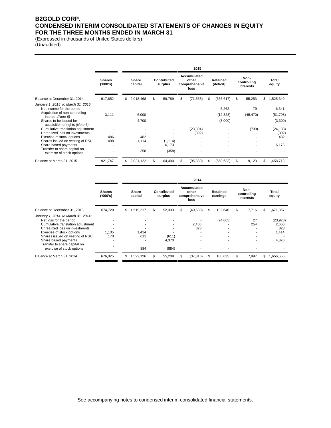### **B2GOLD CORP. CONDENSED INTERIM CONSOLIDATED STATEMENTS OF CHANGES IN EQUITY FOR THE THREE MONTHS ENDED IN MARCH 31**

(Expressed in thousands of United States dollars) (Unaudited)

|                                                                                                                                                                                                                          |                           | 2015 |                  |    |                        |    |                                               |    |                               |    |                                  |    |                                            |
|--------------------------------------------------------------------------------------------------------------------------------------------------------------------------------------------------------------------------|---------------------------|------|------------------|----|------------------------|----|-----------------------------------------------|----|-------------------------------|----|----------------------------------|----|--------------------------------------------|
|                                                                                                                                                                                                                          | <b>Shares</b><br>('000's) |      | Share<br>capital |    | Contributed<br>surplus |    | Accumulated<br>other<br>comprehensive<br>loss |    | Retained<br>(deficit)         |    | Non-<br>controlling<br>interests |    | Total<br>equity                            |
| Balance at December 31, 2014                                                                                                                                                                                             | 917,652                   | \$   | 2,018,468        | \$ | 59,789                 | \$ | (71, 553)                                     | \$ | (536, 617)                    | \$ | 55,253                           | \$ | 1,525,340                                  |
| January 1, 2015 to March 31, 2015:<br>Net income for the period<br>Acquisition of non-controlling<br>interest (Note 6)<br>Shares to be issued for<br>acquisition of rights (Note 6)<br>Cumulative translation adjustment | 3.111                     |      | 6,000<br>4,700   |    | ۰                      |    | ٠<br>(23, 394)                                |    | 6,262<br>(12, 328)<br>(8,000) |    | 79<br>(45, 470)<br>(739)         |    | 6,341<br>(51, 798)<br>(3,300)<br>(24, 133) |
| Unrealized loss on investments<br>Exercise of stock options<br>Shares issued on vesting of RSU                                                                                                                           | 486<br>498                |      | 482<br>1,114     |    | (1, 114)               |    | (392)                                         |    |                               |    | ۰.                               |    | (392)<br>482                               |
| Share based payments<br>Transfer to share capital on<br>exercise of stock options                                                                                                                                        |                           |      | 358              |    | 6,173<br>(358)         |    |                                               |    |                               |    | ۰                                |    | 6,173                                      |
| Balance at March 31, 2015                                                                                                                                                                                                | 921,747                   | \$   | 2,031,122        | S  | 64,490                 | \$ | (95, 339)                                     | S  | (550, 683)                    | \$ | 9,123                            | S  | 1,458,713                                  |

|                                                                                                                                                                                                                                                                                           |                          | 2014 |                     |     |                         |   |                                               |    |                                                                             |    |                                  |    |                                             |
|-------------------------------------------------------------------------------------------------------------------------------------------------------------------------------------------------------------------------------------------------------------------------------------------|--------------------------|------|---------------------|-----|-------------------------|---|-----------------------------------------------|----|-----------------------------------------------------------------------------|----|----------------------------------|----|---------------------------------------------|
|                                                                                                                                                                                                                                                                                           | <b>Shares</b><br>(000's) |      | Share<br>capital    |     | Contributed<br>surplus  |   | Accumulated<br>other<br>comprehensive<br>loss |    | Retained<br>earnings                                                        |    | Non-<br>controlling<br>interests |    | Total<br>equity                             |
| Balance at December 31, 2013                                                                                                                                                                                                                                                              | 674,720                  | \$   | 1,519,217           | \$. | 52,333                  | S | (40, 539)                                     | \$ | 132.640                                                                     | S  | 7,716                            | S. | 1,671,367                                   |
| January 1, 2014 to March 31, 2014:<br>Net loss for the period<br>Cumulative translation adjustment<br>Unrealized loss on investments<br>Exercise of stock options<br>Shares issued on vesting of RSU<br>Share based payments<br>Transfer to share capital on<br>exercise of stock options | ۰.<br>۰<br>1.135<br>170  |      | 1,414<br>611<br>884 |     | (611)<br>4,370<br>(884) |   | 2.406<br>823<br>۰<br>٠                        |    | (24,005)<br>$\overline{\phantom{a}}$<br>$\overline{\phantom{a}}$<br>۰<br>۰. |    | 27<br>254<br>۰<br>۰<br>٠<br>٠    |    | (23, 978)<br>2.660<br>823<br>1,414<br>4,370 |
| Balance at March 31, 2014                                                                                                                                                                                                                                                                 | 676,025                  | \$.  | 1,522,126           |     | 55,208                  | S | (37, 310)                                     | \$ | 108,635                                                                     | \$ | 7,997                            | \$ | 1,656,656                                   |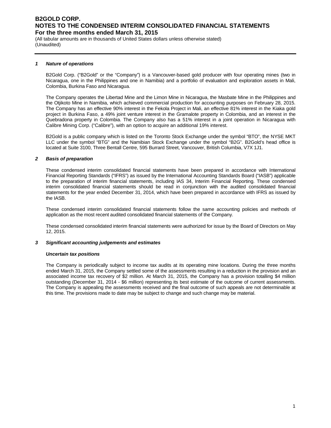(All tabular amounts are in thousands of United States dollars unless otherwise stated) (Unaudited)

#### *1 Nature of operations*

B2Gold Corp. ("B2Gold" or the "Company") is a Vancouver-based gold producer with four operating mines (two in Nicaragua, one in the Philippines and one in Namibia) and a portfolio of evaluation and exploration assets in Mali, Colombia, Burkina Faso and Nicaragua.

The Company operates the Libertad Mine and the Limon Mine in Nicaragua, the Masbate Mine in the Philippines and the Otjikoto Mine in Namibia, which achieved commercial production for accounting purposes on February 28, 2015. The Company has an effective 90% interest in the Fekola Project in Mali, an effective 81% interest in the Kiaka gold project in Burkina Faso, a 49% joint venture interest in the Gramalote property in Colombia, and an interest in the Quebradona property in Colombia. The Company also has a 51% interest in a joint operation in Nicaragua with Calibre Mining Corp. ("Calibre"), with an option to acquire an additional 19% interest.

B2Gold is a public company which is listed on the Toronto Stock Exchange under the symbol "BTO", the NYSE MKT LLC under the symbol "BTG" and the Namibian Stock Exchange under the symbol "B2G". B2Gold's head office is located at Suite 3100, Three Bentall Centre, 595 Burrard Street, Vancouver, British Columbia, V7X 1J1.

#### *2 Basis of preparation*

These condensed interim consolidated financial statements have been prepared in accordance with International Financial Reporting Standards ("IFRS") as issued by the International Accounting Standards Board ("IASB") applicable to the preparation of interim financial statements, including IAS 34, Interim Financial Reporting. These condensed interim consolidated financial statements should be read in conjunction with the audited consolidated financial statements for the year ended December 31, 2014, which have been prepared in accordance with IFRS as issued by the IASB.

These condensed interim consolidated financial statements follow the same accounting policies and methods of application as the most recent audited consolidated financial statements of the Company.

These condensed consolidated interim financial statements were authorized for issue by the Board of Directors on May 12, 2015.

#### *3 Significant accounting judgements and estimates*

#### *Uncertain tax positions*

The Company is periodically subject to income tax audits at its operating mine locations. During the three months ended March 31, 2015, the Company settled some of the assessments resulting in a reduction in the provision and an associated income tax recovery of \$2 million. At March 31, 2015, the Company has a provision totalling \$4 million outstanding (December 31, 2014 - \$6 million) representing its best estimate of the outcome of current assessments. The Company is appealing the assessments received and the final outcome of such appeals are not determinable at this time. The provisions made to date may be subject to change and such change may be material.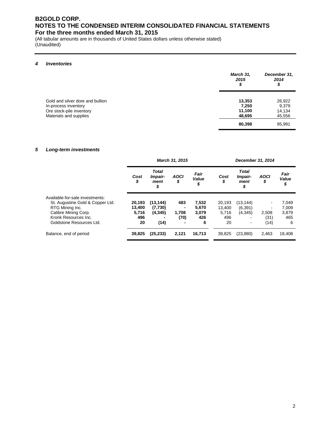(All tabular amounts are in thousands of United States dollars unless otherwise stated) (Unaudited)

#### *4 Inventories*

|                                                                                                                | March 31,<br>2015<br>\$             | December 31,<br>2014<br>\$          |
|----------------------------------------------------------------------------------------------------------------|-------------------------------------|-------------------------------------|
| Gold and silver dore and bullion<br>In-process inventory<br>Ore stock-pile inventory<br>Materials and supplies | 13,353<br>7,250<br>11,100<br>48,695 | 26,922<br>9,379<br>14,134<br>45,556 |
|                                                                                                                | 80,398                              | 95,991                              |

#### *5 Long-term investments*

|                                  |            | March 31, 2015                        |                   |                     |            | December 31, 2014                     |                          |                     |
|----------------------------------|------------|---------------------------------------|-------------------|---------------------|------------|---------------------------------------|--------------------------|---------------------|
|                                  | Cost<br>\$ | <b>Total</b><br>Impair-<br>ment<br>\$ | <b>AOCI</b><br>\$ | Fair<br>Value<br>\$ | Cost<br>\$ | <b>Total</b><br>Impair-<br>ment<br>\$ | <b>AOCI</b><br>\$        | Fair<br>Value<br>\$ |
| Available-for-sale investments:  |            |                                       |                   |                     |            |                                       |                          |                     |
| St. Augustine Gold & Copper Ltd. | 20,193     | (13, 144)                             | 483               | 7,532               | 20.193     | (13, 144)                             | $\overline{\phantom{a}}$ | 7,049               |
| RTG Mining Inc.                  | 13.400     | (7,730)                               |                   | 5.670               | 13.400     | (6, 391)                              | ٠                        | 7,009               |
| Calibre Mining Corp.             | 5,716      | (4, 345)                              | 1,708             | 3,079               | 5,716      | (4,345)                               | 2,508                    | 3,879               |
| Kronk Resources Inc.             | 496        |                                       | (70)              | 426                 | 496        | -                                     | (31)                     | 465                 |
| Goldstone Resources Ltd.         | 20         | (14)                                  | -                 | 6                   | 20         | $\qquad \qquad \blacksquare$          | (14)                     | 6                   |
| Balance, end of period           | 39,825     | (25, 233)                             | 2,121             | 16,713              | 39,825     | (23, 880)                             | 2,463                    | 18,408              |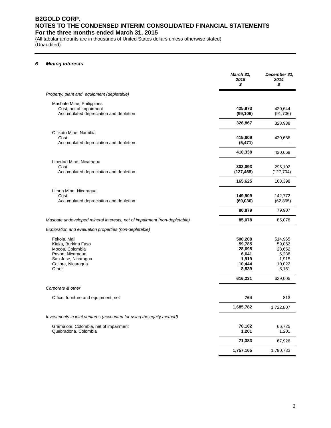(All tabular amounts are in thousands of United States dollars unless otherwise stated) (Unaudited)

#### *6 Mining interests*

|                                                                                                                                  | March 31,<br>2015<br>\$                                          | December 31,<br>2014<br>\$                                       |
|----------------------------------------------------------------------------------------------------------------------------------|------------------------------------------------------------------|------------------------------------------------------------------|
| Property, plant and equipment (depletable)                                                                                       |                                                                  |                                                                  |
| Masbate Mine, Philippines<br>Cost, net of impairment<br>Accumulated depreciation and depletion                                   | 425,973<br>(99, 106)                                             | 420,644<br>(91,706)                                              |
|                                                                                                                                  | 326,867                                                          | 328,938                                                          |
| Otjikoto Mine, Namibia<br>Cost<br>Accumulated depreciation and depletion                                                         | 415,809<br>(5, 471)                                              | 430,668                                                          |
|                                                                                                                                  | 410,338                                                          | 430,668                                                          |
| Libertad Mine, Nicaragua<br>Cost<br>Accumulated depreciation and depletion                                                       | 303,093<br>(137, 468)                                            | 296,102<br>(127, 704)                                            |
|                                                                                                                                  | 165,625                                                          | 168,398                                                          |
| Limon Mine, Nicaragua<br>Cost<br>Accumulated depreciation and depletion                                                          | 149,909<br>(69, 030)                                             | 142,772<br>(62, 865)                                             |
|                                                                                                                                  | 80,879                                                           | 79,907                                                           |
| Masbate undeveloped mineral interests, net of impairment (non-depletable)                                                        | 85,078                                                           | 85,078                                                           |
| Exploration and evaluation properties (non-depletable)                                                                           |                                                                  |                                                                  |
| Fekola, Mali<br>Kiaka, Burkina Faso<br>Mocoa, Colombia<br>Pavon, Nicaragua<br>San Jose, Nicaragua<br>Calibre, Nicaragua<br>Other | 500,208<br>59,785<br>28,695<br>6,641<br>1,919<br>10,444<br>8,539 | 514,965<br>59,062<br>28,652<br>6,238<br>1,915<br>10,022<br>8,151 |
|                                                                                                                                  | 616,231                                                          | 629,005                                                          |
| Corporate & other                                                                                                                |                                                                  |                                                                  |
| Office, furniture and equipment, net                                                                                             | 764                                                              | 813                                                              |
|                                                                                                                                  | 1,685,782                                                        | 1,722,807                                                        |
| Investments in joint ventures (accounted for using the equity method)                                                            |                                                                  |                                                                  |
| Gramalote, Colombia, net of impairment<br>Quebradona, Colombia                                                                   | 70,182<br>1,201                                                  | 66,725<br>1,201                                                  |
|                                                                                                                                  | 71,383                                                           | 67,926                                                           |
|                                                                                                                                  | 1,757,165                                                        | 1,790,733                                                        |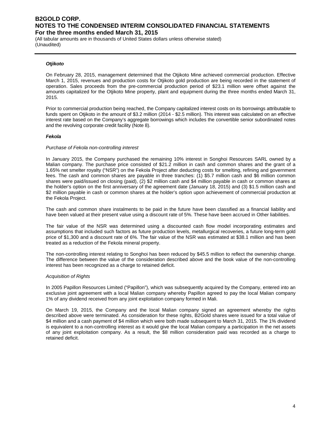(All tabular amounts are in thousands of United States dollars unless otherwise stated) (Unaudited)

#### *Otjikoto*

On February 28, 2015, management determined that the Otjikoto Mine achieved commercial production. Effective March 1, 2015, revenues and production costs for Otjikoto gold production are being recorded in the statement of operation. Sales proceeds from the pre-commercial production period of \$23.1 million were offset against the amounts capitalized for the Otjikoto Mine property, plant and equipment during the three months ended March 31, 2015.

Prior to commercial production being reached, the Company capitalized interest costs on its borrowings attributable to funds spent on Otijkoto in the amount of \$3.2 million (2014 - \$2.5 million). This interest was calculated on an effective interest rate based on the Company's aggregate borrowings which includes the convertible senior subordinated notes and the revolving corporate credit facility (Note 8).

#### *Fekola*

#### *Purchase of Fekola non-controlling interest*

In January 2015, the Company purchased the remaining 10% interest in Songhoi Resources SARL owned by a Malian company. The purchase price consisted of \$21.2 million in cash and common shares and the grant of a 1.65% net smelter royalty ("NSR") on the Fekola Project after deducting costs for smelting, refining and government fees. The cash and common shares are payable in three tranches: (1) \$5.7 million cash and \$6 million common shares were paid/issued on closing (paid), (2) \$2 million cash and \$4 million payable in cash or common shares at the holder's option on the first anniversary of the agreement date (January 18, 2015) and (3) \$1.5 million cash and \$2 million payable in cash or common shares at the holder's option upon achievement of commercial production at the Fekola Project.

The cash and common share instalments to be paid in the future have been classified as a financial liability and have been valued at their present value using a discount rate of 5%. These have been accrued in Other liabilities.

The fair value of the NSR was determined using a discounted cash flow model incorporating estimates and assumptions that included such factors as future production levels, metallurgical recoveries, a future long-term gold price of \$1,300 and a discount rate of 6%. The fair value of the NSR was estimated at \$38.1 million and has been treated as a reduction of the Fekola mineral property.

The non-controlling interest relating to Songhoi has been reduced by \$45.5 million to reflect the ownership change. The difference between the value of the consideration described above and the book value of the non-controlling interest has been recognized as a charge to retained deficit.

#### *Acquisition of Rights*

In 2005 Papillon Resources Limited ("Papillon"), which was subsequently acquired by the Company, entered into an exclusive joint agreement with a local Malian company whereby Papillon agreed to pay the local Malian company 1% of any dividend received from any joint exploitation company formed in Mali.

On March 19, 2015, the Company and the local Malian company signed an agreement whereby the rights described above were terminated. As consideration for these rights, B2Gold shares were issued for a total value of \$4 million and a cash payment of \$4 million which were both made subsequent to March 31, 2015. The 1% dividend is equivalent to a non-controlling interest as it would give the local Malian company a participation in the net assets of any joint exploitation company. As a result, the \$8 million consideration paid was recorded as a charge to retained deficit.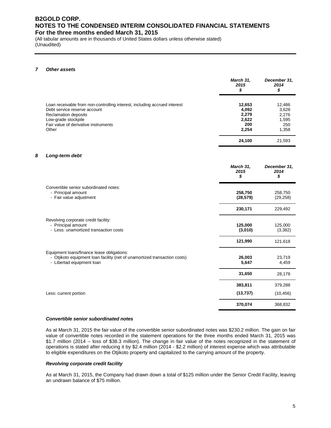(All tabular amounts are in thousands of United States dollars unless otherwise stated) (Unaudited)

#### *7 Other assets*

|                                                                                                                                                                                                                  | March 31,<br>2015<br>\$                           | December 31,<br>2014<br>\$                        |
|------------------------------------------------------------------------------------------------------------------------------------------------------------------------------------------------------------------|---------------------------------------------------|---------------------------------------------------|
| Loan receivable from non-controlling interest, including accrued interest<br>Debt service reserve account<br><b>Reclamation deposits</b><br>Low-grade stockpile<br>Fair value of derivative instruments<br>Other | 12,653<br>4,092<br>2,279<br>2,622<br>200<br>2,254 | 12,486<br>3,628<br>2,276<br>1,595<br>250<br>1,358 |
|                                                                                                                                                                                                                  | 24,100                                            | 21,593                                            |

#### *8 Long-term debt*

|                                                                                                                                                      | March 31,<br>2015<br>S | December 31,<br>2014<br>\$ |
|------------------------------------------------------------------------------------------------------------------------------------------------------|------------------------|----------------------------|
| Convertible senior subordinated notes:<br>- Principal amount<br>- Fair value adjustment                                                              | 258,750<br>(28, 579)   | 258,750<br>(29, 258)       |
|                                                                                                                                                      | 230,171                | 229,492                    |
| Revolving corporate credit facility:<br>- Principal amount<br>- Less: unamortized transaction costs                                                  | 125,000<br>(3,010)     | 125,000<br>(3,382)         |
|                                                                                                                                                      | 121,990                | 121,618                    |
| Equipment loans/finance lease obligations:<br>- Otjikoto equipment loan facility (net of unamortized transaction costs)<br>- Libertad equipment loan | 26,003<br>5,647        | 23,719<br>4,459            |
|                                                                                                                                                      | 31,650                 | 28,178                     |
|                                                                                                                                                      | 383,811                | 379,288                    |
| Less: current portion                                                                                                                                | (13, 737)              | (10, 456)                  |
|                                                                                                                                                      | 370,074                | 368,832                    |

#### *Convertible senior subordinated notes*

As at March 31, 2015 the fair value of the convertible senior subordinated notes was \$230.2 million. The gain on fair value of convertible notes recorded in the statement operations for the three months ended March 31, 2015 was \$1.7 million (2014 – loss of \$38.3 million). The change in fair value of the notes recognized in the statement of operations is stated after reducing it by \$2.4 million (2014 - \$2.2 million) of interest expense which was attributable to eligible expenditures on the Otjikoto property and capitalized to the carrying amount of the property.

#### *Revolving corporate credit facility*

As at March 31, 2015, the Company had drawn down a total of \$125 million under the Senior Credit Facility, leaving an undrawn balance of \$75 million.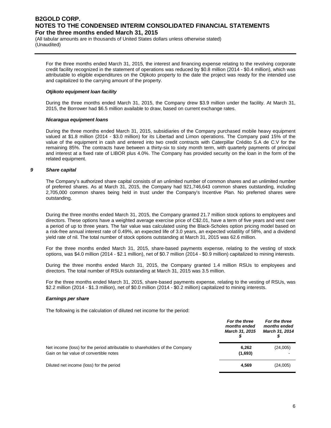(All tabular amounts are in thousands of United States dollars unless otherwise stated) (Unaudited)

For the three months ended March 31, 2015, the interest and financing expense relating to the revolving corporate credit facility recognized in the statement of operations was reduced by \$0.8 million (2014 - \$0.4 million), which was attributable to eligible expenditures on the Otjikoto property to the date the project was ready for the intended use and capitalized to the carrying amount of the property.

#### *Otjikoto equipment loan facility*

During the three months ended March 31, 2015, the Company drew \$3.9 million under the facility. At March 31, 2015, the Borrower had \$6.5 million available to draw, based on current exchange rates.

#### *Nicaragua equipment loans*

During the three months ended March 31, 2015, subsidiaries of the Company purchased mobile heavy equipment valued at \$1.8 million (2014 - \$3.0 million) for its Libertad and Limon operations. The Company paid 15% of the value of the equipment in cash and entered into two credit contracts with Caterpillar Crédito S.A de C.V for the remaining 85%. The contracts have between a thirty-six to sixty month term, with quarterly payments of principal and interest at a fixed rate of LIBOR plus 4.0%. The Company has provided security on the loan in the form of the related equipment.

#### *9 Share capital*

The Company's authorized share capital consists of an unlimited number of common shares and an unlimited number of preferred shares. As at March 31, 2015, the Company had 921,746,643 common shares outstanding, including 2,705,000 common shares being held in trust under the Company's Incentive Plan. No preferred shares were outstanding.

During the three months ended March 31, 2015, the Company granted 21.7 million stock options to employees and directors. These options have a weighted average exercise price of C\$2.01, have a term of five years and vest over a period of up to three years. The fair value was calculated using the Black-Scholes option pricing model based on a risk-free annual interest rate of 0.49%, an expected life of 3.0 years, an expected volatility of 58%, and a dividend yield rate of nil. The total number of stock options outstanding at March 31, 2015 was 62.6 million.

For the three months ended March 31, 2015, share-based payments expense, relating to the vesting of stock options, was \$4.0 million (2014 - \$2.1 million), net of \$0.7 million (2014 - \$0.9 million) capitalized to mining interests.

During the three months ended March 31, 2015, the Company granted 1.4 million RSUs to employees and directors. The total number of RSUs outstanding at March 31, 2015 was 3.5 million.

For the three months ended March 31, 2015, share-based payments expense, relating to the vesting of RSUs, was \$2.2 million (2014 - \$1.3 million), net of \$0.0 million (2014 - \$0.2 million) capitalized to mining interests.

#### *Earnings per share*

The following is the calculation of diluted net income for the period:

|                                                                              | For the three<br>months ended<br><b>March 31, 2015</b> | For the three<br>months ended<br><b>March 31, 2014</b> |
|------------------------------------------------------------------------------|--------------------------------------------------------|--------------------------------------------------------|
| Net income (loss) for the period attributable to shareholders of the Company | 6,262                                                  | (24,005)                                               |
| Gain on fair value of convertible notes                                      | (1,693)                                                |                                                        |
| Diluted net income (loss) for the period                                     | 4,569                                                  | (24,005)                                               |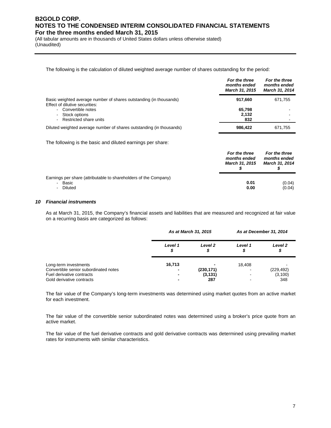(All tabular amounts are in thousands of United States dollars unless otherwise stated) (Unaudited)

The following is the calculation of diluted weighted average number of shares outstanding for the period:

|                                                                                                      | гог ше инее<br>months ended<br><b>March 31, 2015</b> | гог ие инее<br>months ended<br><b>March 31, 2014</b> |
|------------------------------------------------------------------------------------------------------|------------------------------------------------------|------------------------------------------------------|
| Basic weighted average number of shares outstanding (in thousands)<br>Effect of dilutive securities: | 917.660                                              | 671,755                                              |
| - Convertible notes                                                                                  | 65.798                                               |                                                      |
| - Stock options                                                                                      | 2,132                                                |                                                      |
| - Restricted share units                                                                             | 832                                                  |                                                      |
| Diluted weighted average number of shares outstanding (in thousands)                                 | 986,422                                              | 671.755                                              |

*For the three* 

*For the three* 

The following is the basic and diluted earnings per share:

|                                                                             | For the three<br>months ended<br><b>March 31, 2015</b> | For the three<br>months ended<br><b>March 31, 2014</b> |
|-----------------------------------------------------------------------------|--------------------------------------------------------|--------------------------------------------------------|
| Earnings per share (attributable to shareholders of the Company)<br>- Basic | 0.01                                                   | (0.04)                                                 |
| - Diluted                                                                   | 0.00                                                   | (0.04)                                                 |

#### *10 Financial instruments*

As at March 31, 2015, the Company's financial assets and liabilities that are measured and recognized at fair value on a recurring basis are categorized as follows:

|                                       | As at March 31, 2015     |                | As at December 31, 2014 |                         |
|---------------------------------------|--------------------------|----------------|-------------------------|-------------------------|
|                                       | Level 1<br>S             | Level 2<br>\$  | Level 1                 | Level <sub>2</sub><br>จ |
| Long-term investments                 | 16,713                   | $\blacksquare$ | 18.408                  |                         |
| Convertible senior subordinated notes | $\overline{\phantom{0}}$ | (230, 171)     |                         | (229, 492)              |
| Fuel derivative contracts             |                          | (3, 131)       | -                       | (3, 100)                |
| Gold derivative contracts             |                          | 287            |                         | 348                     |

The fair value of the Company's long-term investments was determined using market quotes from an active market for each investment.

The fair value of the convertible senior subordinated notes was determined using a broker's price quote from an active market.

The fair value of the fuel derivative contracts and gold derivative contracts was determined using prevailing market rates for instruments with similar characteristics.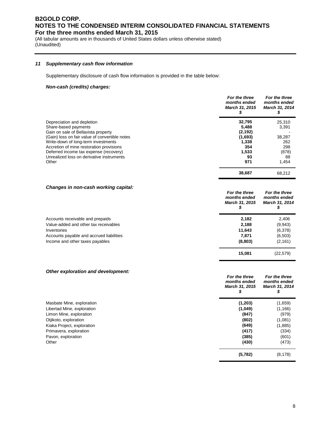(All tabular amounts are in thousands of United States dollars unless otherwise stated) (Unaudited)

#### *11 Supplementary cash flow information*

Supplementary disclosure of cash flow information is provided in the table below:

#### *Non-cash (credits) charges:*

|                                                | For the three<br>months ended<br>March 31, 2015 | For the three<br>months ended<br>March 31, 2014 |
|------------------------------------------------|-------------------------------------------------|-------------------------------------------------|
| Depreciation and depletion                     | 32,795                                          | 25,310                                          |
| Share-based payments                           | 5,488                                           | 3,391                                           |
| Gain on sale of Bellavista property            | (2, 192)                                        |                                                 |
| (Gain) loss on fair value of convertible notes | (1,693)                                         | 38,287                                          |
| Write-down of long-term investments            | 1.338                                           | 262                                             |
| Accretion of mine restoration provisions       | 354                                             | 298                                             |
| Deferred income tax expense (recovery)         | 1,533                                           | (878)                                           |
| Unrealized loss on derivative instruments      | 93                                              | 88                                              |
| Other                                          | 971                                             | 1,454                                           |
|                                                | 38.687                                          | 68.212                                          |

#### *Changes in non-cash working capital:*

| Changes in non-cash working capital.     | For the three<br>months ended<br>March 31, 2015 | For the three<br>months ended<br><b>March 31, 2014</b> |
|------------------------------------------|-------------------------------------------------|--------------------------------------------------------|
| Accounts receivable and prepaids         | 2,182                                           | 2,406                                                  |
| Value-added and other tax receivables    | 2.188                                           | (9,943)                                                |
| Inventories                              | 11,643                                          | (6,378)                                                |
| Accounts payable and accrued liabilities | 7.871                                           | (6, 503)                                               |
| Income and other taxes payables          | (8,803)                                         | (2, 161)                                               |
|                                          | 15.081                                          | (22,579)                                               |

#### *Other exploration and development:*

|                            | months ended<br><b>March 31, 2015</b> | months ended<br>March 31, 2014 |
|----------------------------|---------------------------------------|--------------------------------|
| Masbate Mine, exploration  | (1,203)                               | (1,659)                        |
| Libertad Mine, exploration | (1,049)                               | (1, 166)                       |
| Limon Mine, exploration    | (847)                                 | (979)                          |
| Otjikoto, exploration      | (802)                                 | (1,081)                        |
| Kiaka Project, exploration | (649)                                 | (1,885)                        |
| Primavera, exploration     | (417)                                 | (334)                          |
| Pavon, exploration         | (385)                                 | (601)                          |
| Other                      | (430)                                 | (473)                          |
|                            | (5,782)                               | (8, 178)                       |

*For the three* 

*For the three*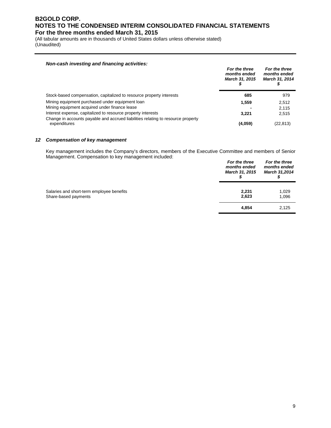(All tabular amounts are in thousands of United States dollars unless otherwise stated) (Unaudited)

#### *Non-cash investing and financing activities:*

|                                                                                                  | For the three<br>months ended<br>March 31, 2015 | For the three<br>months ended<br>March 31, 2014 |
|--------------------------------------------------------------------------------------------------|-------------------------------------------------|-------------------------------------------------|
| Stock-based compensation, capitalized to resource property interests                             | 685                                             | 979                                             |
| Mining equipment purchased under equipment loan                                                  | 1.559                                           | 2.512                                           |
| Mining equipment acquired under finance lease                                                    |                                                 | 2.115                                           |
| Interest expense, capitalized to resource property interests                                     | 3.221                                           | 2,515                                           |
| Change in accounts payable and accrued liabilities relating to resource property<br>expenditures | (4.059)                                         | (22, 813)                                       |

#### *12 Compensation of key management*

Key management includes the Company's directors, members of the Executive Committee and members of Senior Management. Compensation to key management included:

|                                                                   | For the three<br>months ended<br><b>March 31, 2015</b> | For the three<br>months ended<br>March 31,2014 |
|-------------------------------------------------------------------|--------------------------------------------------------|------------------------------------------------|
| Salaries and short-term employee benefits<br>Share-based payments | 2.231<br>2,623                                         | 1,029<br>1,096                                 |
|                                                                   | 4,854                                                  | 2,125                                          |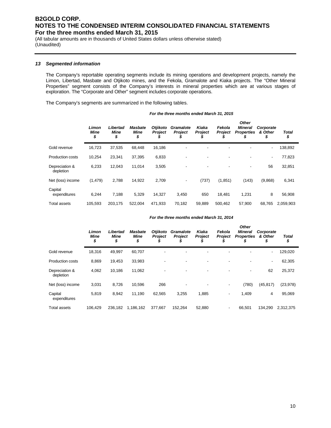(All tabular amounts are in thousands of United States dollars unless otherwise stated) (Unaudited)

#### *13 Segmented information*

The Company's reportable operating segments include its mining operations and development projects, namely the Limon, Libertad, Masbate and Otjikoto mines, and the Fekola, Gramalote and Kiaka projects. The "Other Mineral Properties" segment consists of the Company's interests in mineral properties which are at various stages of exploration. The "Corporate and Other" segment includes corporate operations.

The Company's segments are summarized in the following tables.

| For the three months ended March 31, 2015 |
|-------------------------------------------|
|-------------------------------------------|

|                             | Limon<br><b>Mine</b><br>\$ | Libertad<br><b>Mine</b><br>\$ | Masbate<br><b>Mine</b><br>\$ | <b>Otjikoto</b><br><b>Project</b> | <b>Gramalote</b><br>Project | Kiaka<br><b>Project</b> | Fekola<br><b>Project</b> | <b>Other</b><br><b>Mineral</b><br><b>Properties</b><br>\$ | Corporate<br>& Other<br>\$ | Total<br>\$ |
|-----------------------------|----------------------------|-------------------------------|------------------------------|-----------------------------------|-----------------------------|-------------------------|--------------------------|-----------------------------------------------------------|----------------------------|-------------|
| Gold revenue                | 16,723                     | 37,535                        | 68,448                       | 16,186                            |                             |                         |                          |                                                           | ۰                          | 138,892     |
| <b>Production costs</b>     | 10,254                     | 23,341                        | 37,395                       | 6,833                             |                             |                         |                          |                                                           | ٠                          | 77,823      |
| Depreciation &<br>depletion | 6,233                      | 12,043                        | 11,014                       | 3,505                             |                             |                         |                          | -                                                         | 56                         | 32,851      |
| Net (loss) income           | (1, 479)                   | 2,788                         | 14,922                       | 2,709                             | $\overline{\phantom{a}}$    | (737)                   | (1,851)                  | (143)                                                     | (9,868)                    | 6,341       |
| Capital<br>expenditures     | 6.244                      | 7.188                         | 5,329                        | 14,327                            | 3.450                       | 650                     | 18.481                   | 1,231                                                     | 8                          | 56,908      |
| <b>Total assets</b>         | 105.593                    | 203,175                       | 522.004                      | 471,933                           | 70,182                      | 59.889                  | 500,462                  | 57.900                                                    | 68,765                     | 2,059,903   |

#### *For the three months ended March 31, 2014*

|                             | Limon<br><b>Mine</b><br>\$ | Libertad<br><b>Mine</b><br>\$ | <b>Masbate</b><br><b>Mine</b><br>\$ | <b>Otjikoto</b><br><b>Project</b> | <b>Gramalote</b><br><b>Project</b> | Kiaka<br><b>Project</b> | Fekola<br><b>Project</b> | <b>Other</b><br><b>Mineral</b><br><b>Properties</b><br>J. | Corporate<br>& Other<br>\$ | <b>Total</b><br>\$ |
|-----------------------------|----------------------------|-------------------------------|-------------------------------------|-----------------------------------|------------------------------------|-------------------------|--------------------------|-----------------------------------------------------------|----------------------------|--------------------|
| Gold revenue                | 18,316                     | 49,997                        | 60,707                              |                                   |                                    |                         |                          |                                                           | ٠                          | 129,020            |
| <b>Production costs</b>     | 8,869                      | 19,453                        | 33,983                              |                                   |                                    |                         | ٠                        |                                                           | ٠                          | 62,305             |
| Depreciation &<br>depletion | 4,062                      | 10,186                        | 11,062                              |                                   |                                    |                         | ٠                        |                                                           | 62                         | 25,372             |
| Net (loss) income           | 3,031                      | 8,726                         | 10,596                              | 266                               | -                                  |                         | $\overline{\phantom{a}}$ | (780)                                                     | (45, 817)                  | (23, 978)          |
| Capital<br>expenditures     | 5,819                      | 8,942                         | 11,190                              | 62,565                            | 3,255                              | 1,885                   | $\overline{\phantom{a}}$ | 1,409                                                     | 4                          | 95,069             |
| <b>Total assets</b>         | 106.429                    | 236,182                       | 1,186,162                           | 377.667                           | 152.264                            | 52,880                  | $\overline{\phantom{a}}$ | 66,501                                                    | 134,290                    | 2,312,375          |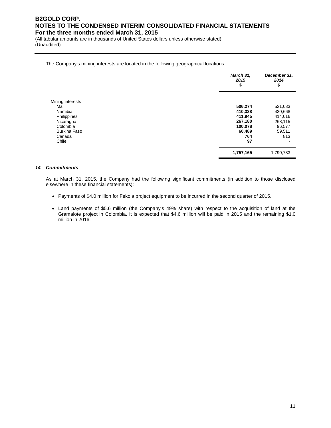(All tabular amounts are in thousands of United States dollars unless otherwise stated) (Unaudited)

#### The Company's mining interests are located in the following geographical locations:

|                  | March 31,<br>2015<br>\$ | December 31,<br>2014<br>\$ |
|------------------|-------------------------|----------------------------|
| Mining interests |                         |                            |
| Mali             | 506,274                 | 521,033                    |
| Namibia          | 410,338                 | 430,668                    |
| Philippines      | 411,945                 | 414,016                    |
| Nicaragua        | 267,180                 | 268,115                    |
| Colombia         | 100,078                 | 96,577                     |
| Burkina Faso     | 60,489                  | 59,511                     |
| Canada           | 764                     | 813                        |
| Chile            | 97                      |                            |
|                  | 1,757,165               | 1,790,733                  |

#### *14 Commitments*

As at March 31, 2015, the Company had the following significant commitments (in addition to those disclosed elsewhere in these financial statements):

- Payments of \$4.0 million for Fekola project equipment to be incurred in the second quarter of 2015.
- Land payments of \$5.6 million (the Company's 49% share) with respect to the acquisition of land at the Gramalote project in Colombia. It is expected that \$4.6 million will be paid in 2015 and the remaining \$1.0 million in 2016.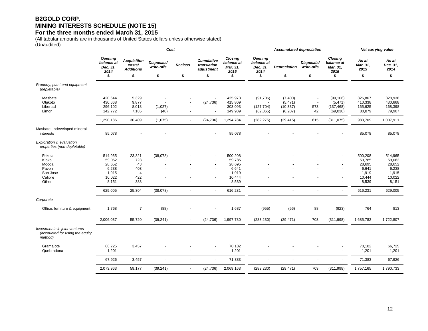## **B2GOLD CORP. MINING INTERESTS SCHEDULE (NOTE 15)**

#### **For the three months ended March 31, 2015**

(All tabular amounts are in thousands of United States dollars unless otherwise stated) (Unaudited)

|                                                                             | Cost                                                             |                                                            |                                |                          |                                                      |                                                                  |                                                        | <b>Accumulated depreciation</b>              | Net carrying value             |                                                        |                                                                  |                                                                  |
|-----------------------------------------------------------------------------|------------------------------------------------------------------|------------------------------------------------------------|--------------------------------|--------------------------|------------------------------------------------------|------------------------------------------------------------------|--------------------------------------------------------|----------------------------------------------|--------------------------------|--------------------------------------------------------|------------------------------------------------------------------|------------------------------------------------------------------|
|                                                                             | Opening<br>balance at<br>Dec. 31,<br>2014<br>\$                  | <b>Acquisition</b><br>costs/<br><b>Additions</b><br>\$     | Disposals/<br>write-offs<br>\$ | <b>Reclass</b><br>\$     | <b>Cumulative</b><br>translation<br>adjustment<br>\$ | <b>Closing</b><br>balance at<br>Mar. 31.<br>2015<br>\$           | <b>Opening</b><br>balance at<br>Dec. 31,<br>2014<br>\$ | <b>Depreciation</b><br>\$                    | Disposals/<br>write-offs<br>\$ | <b>Closing</b><br>balance at<br>Mar. 31,<br>2015<br>\$ | As at<br>Mar. 31,<br>2015<br>\$                                  | As at<br>Dec. 31,<br>2014<br>\$                                  |
| Property, plant and equipment<br>(depletable)                               |                                                                  |                                                            |                                |                          |                                                      |                                                                  |                                                        |                                              |                                |                                                        |                                                                  |                                                                  |
| Masbate<br>Otjikoto<br>Libertad<br>Limon                                    | 420,644<br>430,668<br>296,102<br>142,772                         | 5,329<br>9,877<br>8,018<br>7,185                           | (1,027)<br>(48)                |                          | (24, 736)                                            | 425,973<br>415,809<br>303,093<br>149,909                         | (91, 706)<br>(127, 704)<br>(62, 865)                   | (7,400)<br>(5, 471)<br>(10, 337)<br>(6, 207) | 573<br>42                      | (99, 106)<br>(5, 471)<br>(137, 468)<br>(69,030)        | 326,867<br>410,338<br>165,625<br>80,879                          | 328,938<br>430,668<br>168,398<br>79,907                          |
|                                                                             | 1,290,186                                                        | 30,409                                                     | (1,075)                        | $\overline{\phantom{a}}$ | (24, 736)                                            | 1,294,784                                                        | (282, 275)                                             | (29, 415)                                    | 615                            | (311, 075)                                             | 983,709                                                          | 1,007,911                                                        |
| Masbate undeveloped mineral<br>interests                                    | 85,078                                                           |                                                            |                                | $\sim$                   | $\sim$                                               | 85,078                                                           |                                                        |                                              | $\blacksquare$                 | ä,                                                     | 85,078                                                           | 85,078                                                           |
| Exploration & evaluation<br>properties (non-depletable)                     |                                                                  |                                                            |                                |                          |                                                      |                                                                  |                                                        |                                              |                                |                                                        |                                                                  |                                                                  |
| Fekola<br>Kiaka<br>Mocoa<br>Pavon<br>San Jose<br>Calibre<br>Other           | 514,965<br>59,062<br>28,652<br>6,238<br>1,915<br>10,022<br>8,151 | 23,321<br>723<br>43<br>403<br>$\overline{4}$<br>422<br>388 | (38,078)                       |                          |                                                      | 500,208<br>59,785<br>28,695<br>6,641<br>1,919<br>10,444<br>8,539 |                                                        |                                              |                                | ä,<br>$\blacksquare$<br>$\blacksquare$                 | 500,208<br>59,785<br>28,695<br>6,641<br>1,919<br>10,444<br>8,539 | 514,965<br>59,062<br>28,652<br>6,238<br>1,915<br>10,022<br>8,151 |
|                                                                             | 629,005                                                          | 25,304                                                     | (38,078)                       |                          |                                                      | 616,231                                                          |                                                        |                                              |                                | ä,                                                     | 616,231                                                          | 629,005                                                          |
| Corporate                                                                   |                                                                  |                                                            |                                |                          |                                                      |                                                                  |                                                        |                                              |                                |                                                        |                                                                  |                                                                  |
| Office, furniture & equipment                                               | 1,768                                                            | $\overline{7}$                                             | (88)                           |                          |                                                      | 1,687                                                            | (955)                                                  | (56)                                         | 88                             | (923)                                                  | 764                                                              | 813                                                              |
|                                                                             | 2,006,037                                                        | 55,720                                                     | (39, 241)                      |                          | (24, 736)                                            | 1,997,780                                                        | (283, 230)                                             | (29, 471)                                    | 703                            | (311,998)                                              | 1,685,782                                                        | 1,722,807                                                        |
| Investments in joint ventures<br>(accounted for using the equity<br>method) |                                                                  |                                                            |                                |                          |                                                      |                                                                  |                                                        |                                              |                                |                                                        |                                                                  |                                                                  |
| Gramalote<br>Quebradona                                                     | 66,725<br>1,201                                                  | 3,457                                                      |                                |                          | $\blacksquare$<br>$\overline{a}$                     | 70,182<br>1,201                                                  |                                                        |                                              |                                | $\blacksquare$<br>$\blacksquare$                       | 70,182<br>1,201                                                  | 66,725<br>1,201                                                  |
|                                                                             | 67,926                                                           | 3,457                                                      |                                |                          |                                                      | 71,383                                                           |                                                        |                                              | ÷.                             | $\blacksquare$                                         | 71,383                                                           | 67,926                                                           |
|                                                                             | 2,073,963                                                        | 59,177                                                     | (39, 241)                      |                          | (24, 736)                                            | 2,069,163                                                        | (283, 230)                                             | (29, 471)                                    | 703                            | (311,998)                                              | 1,757,165                                                        | 1,790,733                                                        |
|                                                                             |                                                                  |                                                            |                                |                          |                                                      |                                                                  |                                                        |                                              |                                |                                                        |                                                                  |                                                                  |